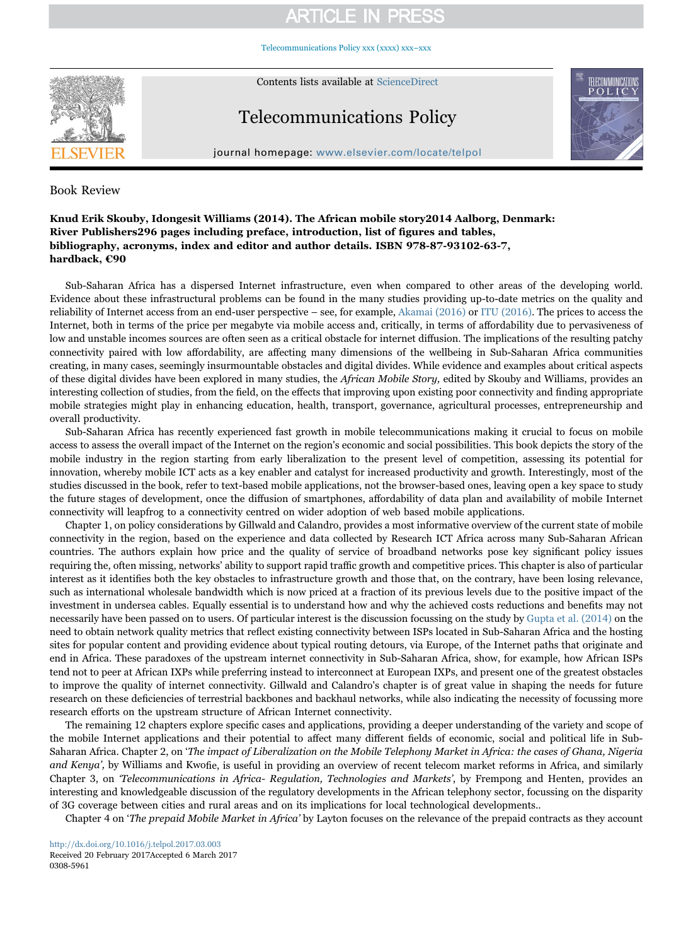## **ARTICLE IN PRESS**

[Telecommunications Policy xxx \(xxxx\) xxx–xxx](http://dx.doi.org/10.1016/j.telpol.2017.03.003)



Contents lists available at [ScienceDirect](http://www.sciencedirect.com/science/journal/03085961)

# Telecommunications Policy



journal homepage: [www.elsevier.com/locate/telpol](http://www.elsevier.com/locate/telpol)

### Book Review

### Knud Erik Skouby, Idongesit Williams (2014). The African mobile story2014 Aalborg, Denmark: River Publishers296 pages including preface, introduction, list of figures and tables, bibliography, acronyms, index and editor and author details. ISBN 978-87-93102-63-7, hardback, €90

Sub-Saharan Africa has a dispersed Internet infrastructure, even when compared to other areas of the developing world. Evidence about these infrastructural problems can be found in the many studies providing up-to-date metrics on the quality and reliability of Internet access from an end-user perspective – see, for example, [Akamai \(2016\)](#page-2-0) or [ITU \(2016\).](#page-2-1) The prices to access the Internet, both in terms of the price per megabyte via mobile access and, critically, in terms of affordability due to pervasiveness of low and unstable incomes sources are often seen as a critical obstacle for internet diffusion. The implications of the resulting patchy connectivity paired with low affordability, are affecting many dimensions of the wellbeing in Sub-Saharan Africa communities creating, in many cases, seemingly insurmountable obstacles and digital divides. While evidence and examples about critical aspects of these digital divides have been explored in many studies, the African Mobile Story, edited by Skouby and Williams, provides an interesting collection of studies, from the field, on the effects that improving upon existing poor connectivity and finding appropriate mobile strategies might play in enhancing education, health, transport, governance, agricultural processes, entrepreneurship and overall productivity.

Sub-Saharan Africa has recently experienced fast growth in mobile telecommunications making it crucial to focus on mobile access to assess the overall impact of the Internet on the region's economic and social possibilities. This book depicts the story of the mobile industry in the region starting from early liberalization to the present level of competition, assessing its potential for innovation, whereby mobile ICT acts as a key enabler and catalyst for increased productivity and growth. Interestingly, most of the studies discussed in the book, refer to text-based mobile applications, not the browser-based ones, leaving open a key space to study the future stages of development, once the diffusion of smartphones, affordability of data plan and availability of mobile Internet connectivity will leapfrog to a connectivity centred on wider adoption of web based mobile applications.

Chapter 1, on policy considerations by Gillwald and Calandro, provides a most informative overview of the current state of mobile connectivity in the region, based on the experience and data collected by Research ICT Africa across many Sub-Saharan African countries. The authors explain how price and the quality of service of broadband networks pose key significant policy issues requiring the, often missing, networks' ability to support rapid traffic growth and competitive prices. This chapter is also of particular interest as it identifies both the key obstacles to infrastructure growth and those that, on the contrary, have been losing relevance, such as international wholesale bandwidth which is now priced at a fraction of its previous levels due to the positive impact of the investment in undersea cables. Equally essential is to understand how and why the achieved costs reductions and benefits may not necessarily have been passed on to users. Of particular interest is the discussion focussing on the study by [Gupta et al. \(2014\)](#page-2-2) on the need to obtain network quality metrics that reflect existing connectivity between ISPs located in Sub-Saharan Africa and the hosting sites for popular content and providing evidence about typical routing detours, via Europe, of the Internet paths that originate and end in Africa. These paradoxes of the upstream internet connectivity in Sub-Saharan Africa, show, for example, how African ISPs tend not to peer at African IXPs while preferring instead to interconnect at European IXPs, and present one of the greatest obstacles to improve the quality of internet connectivity. Gillwald and Calandro's chapter is of great value in shaping the needs for future research on these deficiencies of terrestrial backbones and backhaul networks, while also indicating the necessity of focussing more research efforts on the upstream structure of African Internet connectivity.

The remaining 12 chapters explore specific cases and applications, providing a deeper understanding of the variety and scope of the mobile Internet applications and their potential to affect many different fields of economic, social and political life in Sub-Saharan Africa. Chapter 2, on 'The impact of Liberalization on the Mobile Telephony Market in Africa: the cases of Ghana, Nigeria and Kenya', by Williams and Kwofie, is useful in providing an overview of recent telecom market reforms in Africa, and similarly Chapter 3, on 'Telecommunications in Africa- Regulation, Technologies and Markets', by Frempong and Henten, provides an interesting and knowledgeable discussion of the regulatory developments in the African telephony sector, focussing on the disparity of 3G coverage between cities and rural areas and on its implications for local technological developments..

Chapter 4 on 'The prepaid Mobile Market in Africa' by Layton focuses on the relevance of the prepaid contracts as they account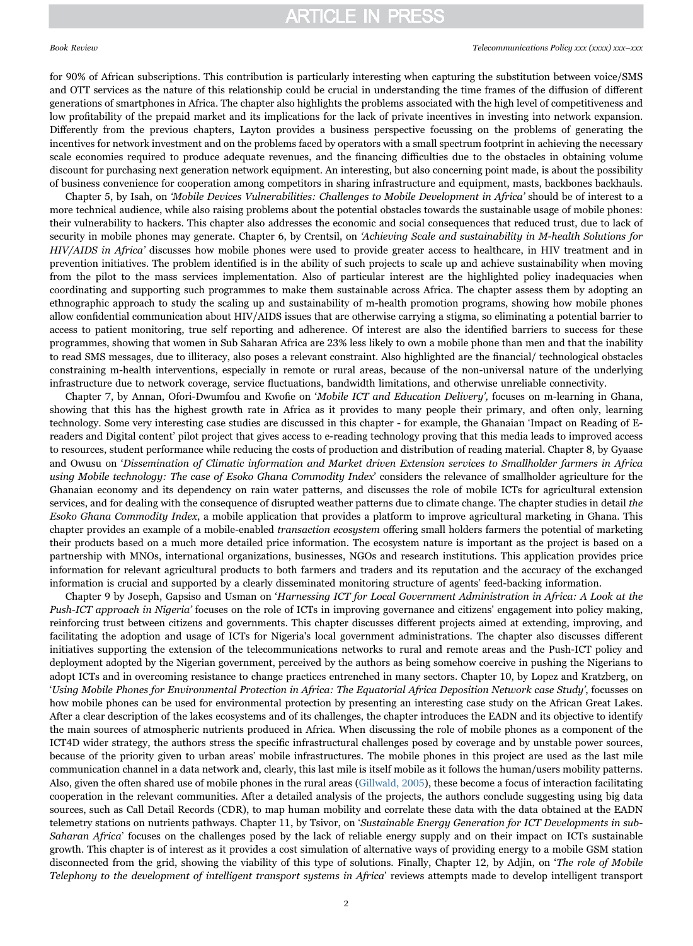# **ARTICLE IN PRESS**

### Book Review *Telecommunications Policy xxx (xxxx) xxx–xxx*

for 90% of African subscriptions. This contribution is particularly interesting when capturing the substitution between voice/SMS and OTT services as the nature of this relationship could be crucial in understanding the time frames of the diffusion of different generations of smartphones in Africa. The chapter also highlights the problems associated with the high level of competitiveness and low profitability of the prepaid market and its implications for the lack of private incentives in investing into network expansion. Differently from the previous chapters, Layton provides a business perspective focussing on the problems of generating the incentives for network investment and on the problems faced by operators with a small spectrum footprint in achieving the necessary scale economies required to produce adequate revenues, and the financing difficulties due to the obstacles in obtaining volume discount for purchasing next generation network equipment. An interesting, but also concerning point made, is about the possibility of business convenience for cooperation among competitors in sharing infrastructure and equipment, masts, backbones backhauls.

Chapter 5, by Isah, on 'Mobile Devices Vulnerabilities: Challenges to Mobile Development in Africa' should be of interest to a more technical audience, while also raising problems about the potential obstacles towards the sustainable usage of mobile phones: their vulnerability to hackers. This chapter also addresses the economic and social consequences that reduced trust, due to lack of security in mobile phones may generate. Chapter 6, by Crentsil, on 'Achieving Scale and sustainability in M-health Solutions for HIV/AIDS in Africa' discusses how mobile phones were used to provide greater access to healthcare, in HIV treatment and in prevention initiatives. The problem identified is in the ability of such projects to scale up and achieve sustainability when moving from the pilot to the mass services implementation. Also of particular interest are the highlighted policy inadequacies when coordinating and supporting such programmes to make them sustainable across Africa. The chapter assess them by adopting an ethnographic approach to study the scaling up and sustainability of m-health promotion programs, showing how mobile phones allow confidential communication about HIV/AIDS issues that are otherwise carrying a stigma, so eliminating a potential barrier to access to patient monitoring, true self reporting and adherence. Of interest are also the identified barriers to success for these programmes, showing that women in Sub Saharan Africa are 23% less likely to own a mobile phone than men and that the inability to read SMS messages, due to illiteracy, also poses a relevant constraint. Also highlighted are the financial/ technological obstacles constraining m-health interventions, especially in remote or rural areas, because of the non-universal nature of the underlying infrastructure due to network coverage, service fluctuations, bandwidth limitations, and otherwise unreliable connectivity.

Chapter 7, by Annan, Ofori-Dwumfou and Kwofie on 'Mobile ICT and Education Delivery', focuses on m-learning in Ghana, showing that this has the highest growth rate in Africa as it provides to many people their primary, and often only, learning technology. Some very interesting case studies are discussed in this chapter - for example, the Ghanaian 'Impact on Reading of Ereaders and Digital content' pilot project that gives access to e-reading technology proving that this media leads to improved access to resources, student performance while reducing the costs of production and distribution of reading material. Chapter 8, by Gyaase and Owusu on 'Dissemination of Climatic information and Market driven Extension services to Smallholder farmers in Africa using Mobile technology: The case of Esoko Ghana Commodity Index' considers the relevance of smallholder agriculture for the Ghanaian economy and its dependency on rain water patterns, and discusses the role of mobile ICTs for agricultural extension services, and for dealing with the consequence of disrupted weather patterns due to climate change. The chapter studies in detail the Esoko Ghana Commodity Index, a mobile application that provides a platform to improve agricultural marketing in Ghana. This chapter provides an example of a mobile-enabled transaction ecosystem offering small holders farmers the potential of marketing their products based on a much more detailed price information. The ecosystem nature is important as the project is based on a partnership with MNOs, international organizations, businesses, NGOs and research institutions. This application provides price information for relevant agricultural products to both farmers and traders and its reputation and the accuracy of the exchanged information is crucial and supported by a clearly disseminated monitoring structure of agents' feed-backing information.

Chapter 9 by Joseph, Gapsiso and Usman on 'Harnessing ICT for Local Government Administration in Africa: A Look at the Push-ICT approach in Nigeria' focuses on the role of ICTs in improving governance and citizens' engagement into policy making, reinforcing trust between citizens and governments. This chapter discusses different projects aimed at extending, improving, and facilitating the adoption and usage of ICTs for Nigeria's local government administrations. The chapter also discusses different initiatives supporting the extension of the telecommunications networks to rural and remote areas and the Push-ICT policy and deployment adopted by the Nigerian government, perceived by the authors as being somehow coercive in pushing the Nigerians to adopt ICTs and in overcoming resistance to change practices entrenched in many sectors. Chapter 10, by Lopez and Kratzberg, on 'Using Mobile Phones for Environmental Protection in Africa: The Equatorial Africa Deposition Network case Study', focusses on how mobile phones can be used for environmental protection by presenting an interesting case study on the African Great Lakes. After a clear description of the lakes ecosystems and of its challenges, the chapter introduces the EADN and its objective to identify the main sources of atmospheric nutrients produced in Africa. When discussing the role of mobile phones as a component of the ICT4D wider strategy, the authors stress the specific infrastructural challenges posed by coverage and by unstable power sources, because of the priority given to urban areas' mobile infrastructures. The mobile phones in this project are used as the last mile communication channel in a data network and, clearly, this last mile is itself mobile as it follows the human/users mobility patterns. Also, given the often shared use of mobile phones in the rural areas [\(Gillwald, 2005\)](#page-2-3), these become a focus of interaction facilitating cooperation in the relevant communities. After a detailed analysis of the projects, the authors conclude suggesting using big data sources, such as Call Detail Records (CDR), to map human mobility and correlate these data with the data obtained at the EADN telemetry stations on nutrients pathways. Chapter 11, by Tsivor, on 'Sustainable Energy Generation for ICT Developments in sub-Saharan Africa' focuses on the challenges posed by the lack of reliable energy supply and on their impact on ICTs sustainable growth. This chapter is of interest as it provides a cost simulation of alternative ways of providing energy to a mobile GSM station disconnected from the grid, showing the viability of this type of solutions. Finally, Chapter 12, by Adjin, on 'The role of Mobile Telephony to the development of intelligent transport systems in Africa' reviews attempts made to develop intelligent transport